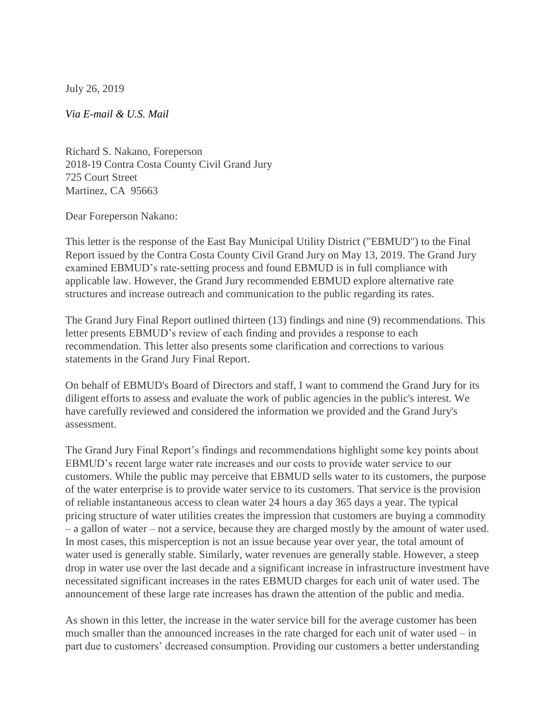July 26, 2019

*Via E-mail & U.S. Mail*

Richard S. Nakano, Foreperson 2018-19 Contra Costa County Civil Grand Jury 725 Court Street Martinez, CA 95663

Dear Foreperson Nakano:

This letter is the response of the East Bay Municipal Utility District ("EBMUD") to the Final Report issued by the Contra Costa County Civil Grand Jury on May 13, 2019. The Grand Jury examined EBMUD's rate-setting process and found EBMUD is in full compliance with applicable law. However, the Grand Jury recommended EBMUD explore alternative rate structures and increase outreach and communication to the public regarding its rates.

The Grand Jury Final Report outlined thirteen (13) findings and nine (9) recommendations. This letter presents EBMUD's review of each finding and provides a response to each recommendation. This letter also presents some clarification and corrections to various statements in the Grand Jury Final Report.

On behalf of EBMUD's Board of Directors and staff, I want to commend the Grand Jury for its diligent efforts to assess and evaluate the work of public agencies in the public's interest. We have carefully reviewed and considered the information we provided and the Grand Jury's assessment.

The Grand Jury Final Report's findings and recommendations highlight some key points about EBMUD's recent large water rate increases and our costs to provide water service to our customers. While the public may perceive that EBMUD sells water to its customers, the purpose of the water enterprise is to provide water service to its customers. That service is the provision of reliable instantaneous access to clean water 24 hours a day 365 days a year. The typical pricing structure of water utilities creates the impression that customers are buying a commodity – a gallon of water – not a service, because they are charged mostly by the amount of water used. In most cases, this misperception is not an issue because year over year, the total amount of water used is generally stable. Similarly, water revenues are generally stable. However, a steep drop in water use over the last decade and a significant increase in infrastructure investment have necessitated significant increases in the rates EBMUD charges for each unit of water used. The announcement of these large rate increases has drawn the attention of the public and media.

As shown in this letter, the increase in the water service bill for the average customer has been much smaller than the announced increases in the rate charged for each unit of water used – in part due to customers' decreased consumption. Providing our customers a better understanding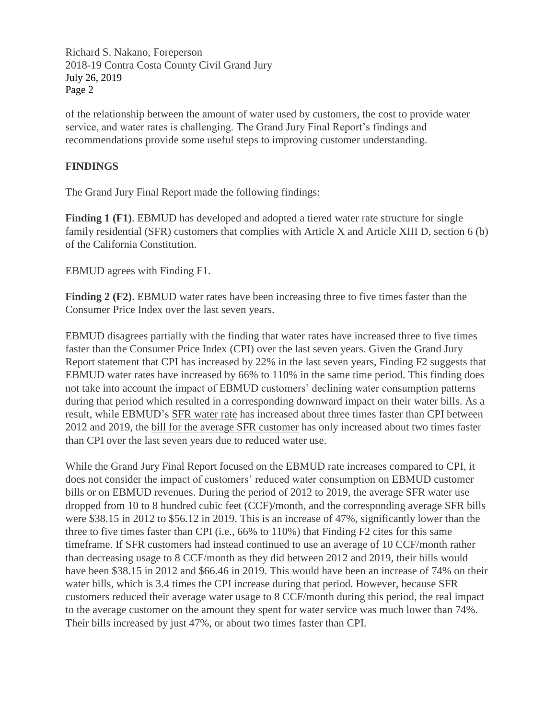of the relationship between the amount of water used by customers, the cost to provide water service, and water rates is challenging. The Grand Jury Final Report's findings and recommendations provide some useful steps to improving customer understanding.

### **FINDINGS**

The Grand Jury Final Report made the following findings:

**Finding 1 (F1)**. EBMUD has developed and adopted a tiered water rate structure for single family residential (SFR) customers that complies with Article X and Article XIII D, section 6 (b) of the California Constitution.

EBMUD agrees with Finding F1.

**Finding 2 (F2)**. EBMUD water rates have been increasing three to five times faster than the Consumer Price Index over the last seven years.

EBMUD disagrees partially with the finding that water rates have increased three to five times faster than the Consumer Price Index (CPI) over the last seven years. Given the Grand Jury Report statement that CPI has increased by 22% in the last seven years, Finding F2 suggests that EBMUD water rates have increased by 66% to 110% in the same time period. This finding does not take into account the impact of EBMUD customers' declining water consumption patterns during that period which resulted in a corresponding downward impact on their water bills. As a result, while EBMUD's SFR water rate has increased about three times faster than CPI between 2012 and 2019, the bill for the average SFR customer has only increased about two times faster than CPI over the last seven years due to reduced water use.

While the Grand Jury Final Report focused on the EBMUD rate increases compared to CPI, it does not consider the impact of customers' reduced water consumption on EBMUD customer bills or on EBMUD revenues. During the period of 2012 to 2019, the average SFR water use dropped from 10 to 8 hundred cubic feet (CCF)/month, and the corresponding average SFR bills were \$38.15 in 2012 to \$56.12 in 2019. This is an increase of 47%, significantly lower than the three to five times faster than CPI (i.e., 66% to 110%) that Finding F2 cites for this same timeframe. If SFR customers had instead continued to use an average of 10 CCF/month rather than decreasing usage to 8 CCF/month as they did between 2012 and 2019, their bills would have been \$38.15 in 2012 and \$66.46 in 2019. This would have been an increase of 74% on their water bills, which is 3.4 times the CPI increase during that period. However, because SFR customers reduced their average water usage to 8 CCF/month during this period, the real impact to the average customer on the amount they spent for water service was much lower than 74%. Their bills increased by just 47%, or about two times faster than CPI.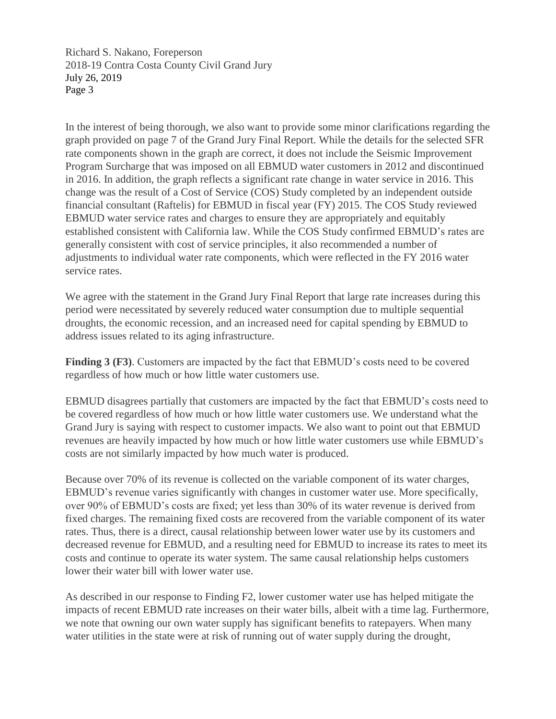In the interest of being thorough, we also want to provide some minor clarifications regarding the graph provided on page 7 of the Grand Jury Final Report. While the details for the selected SFR rate components shown in the graph are correct, it does not include the Seismic Improvement Program Surcharge that was imposed on all EBMUD water customers in 2012 and discontinued in 2016. In addition, the graph reflects a significant rate change in water service in 2016. This change was the result of a Cost of Service (COS) Study completed by an independent outside financial consultant (Raftelis) for EBMUD in fiscal year (FY) 2015. The COS Study reviewed EBMUD water service rates and charges to ensure they are appropriately and equitably established consistent with California law. While the COS Study confirmed EBMUD's rates are generally consistent with cost of service principles, it also recommended a number of adjustments to individual water rate components, which were reflected in the FY 2016 water service rates.

We agree with the statement in the Grand Jury Final Report that large rate increases during this period were necessitated by severely reduced water consumption due to multiple sequential droughts, the economic recession, and an increased need for capital spending by EBMUD to address issues related to its aging infrastructure.

**Finding 3 (F3)**. Customers are impacted by the fact that EBMUD's costs need to be covered regardless of how much or how little water customers use.

EBMUD disagrees partially that customers are impacted by the fact that EBMUD's costs need to be covered regardless of how much or how little water customers use. We understand what the Grand Jury is saying with respect to customer impacts. We also want to point out that EBMUD revenues are heavily impacted by how much or how little water customers use while EBMUD's costs are not similarly impacted by how much water is produced.

Because over 70% of its revenue is collected on the variable component of its water charges, EBMUD's revenue varies significantly with changes in customer water use. More specifically, over 90% of EBMUD's costs are fixed; yet less than 30% of its water revenue is derived from fixed charges. The remaining fixed costs are recovered from the variable component of its water rates. Thus, there is a direct, causal relationship between lower water use by its customers and decreased revenue for EBMUD, and a resulting need for EBMUD to increase its rates to meet its costs and continue to operate its water system. The same causal relationship helps customers lower their water bill with lower water use.

As described in our response to Finding F2, lower customer water use has helped mitigate the impacts of recent EBMUD rate increases on their water bills, albeit with a time lag. Furthermore, we note that owning our own water supply has significant benefits to ratepayers. When many water utilities in the state were at risk of running out of water supply during the drought,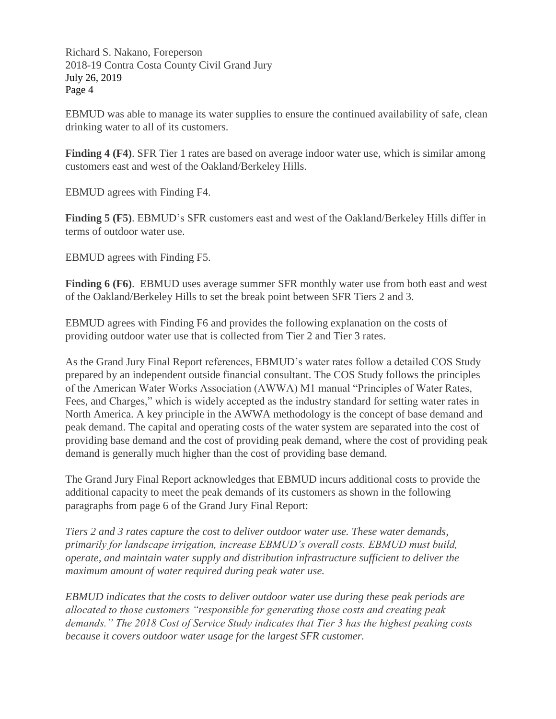EBMUD was able to manage its water supplies to ensure the continued availability of safe, clean drinking water to all of its customers.

**Finding 4 (F4)**. SFR Tier 1 rates are based on average indoor water use, which is similar among customers east and west of the Oakland/Berkeley Hills.

EBMUD agrees with Finding F4.

**Finding 5 (F5)**. EBMUD's SFR customers east and west of the Oakland/Berkeley Hills differ in terms of outdoor water use.

EBMUD agrees with Finding F5.

**Finding 6 (F6)**. EBMUD uses average summer SFR monthly water use from both east and west of the Oakland/Berkeley Hills to set the break point between SFR Tiers 2 and 3.

EBMUD agrees with Finding F6 and provides the following explanation on the costs of providing outdoor water use that is collected from Tier 2 and Tier 3 rates.

As the Grand Jury Final Report references, EBMUD's water rates follow a detailed COS Study prepared by an independent outside financial consultant. The COS Study follows the principles of the American Water Works Association (AWWA) M1 manual "Principles of Water Rates, Fees, and Charges," which is widely accepted as the industry standard for setting water rates in North America. A key principle in the AWWA methodology is the concept of base demand and peak demand. The capital and operating costs of the water system are separated into the cost of providing base demand and the cost of providing peak demand, where the cost of providing peak demand is generally much higher than the cost of providing base demand.

The Grand Jury Final Report acknowledges that EBMUD incurs additional costs to provide the additional capacity to meet the peak demands of its customers as shown in the following paragraphs from page 6 of the Grand Jury Final Report:

*Tiers 2 and 3 rates capture the cost to deliver outdoor water use. These water demands, primarily for landscape irrigation, increase EBMUD's overall costs. EBMUD must build, operate, and maintain water supply and distribution infrastructure sufficient to deliver the maximum amount of water required during peak water use.*

*EBMUD indicates that the costs to deliver outdoor water use during these peak periods are allocated to those customers "responsible for generating those costs and creating peak demands." The 2018 Cost of Service Study indicates that Tier 3 has the highest peaking costs because it covers outdoor water usage for the largest SFR customer.*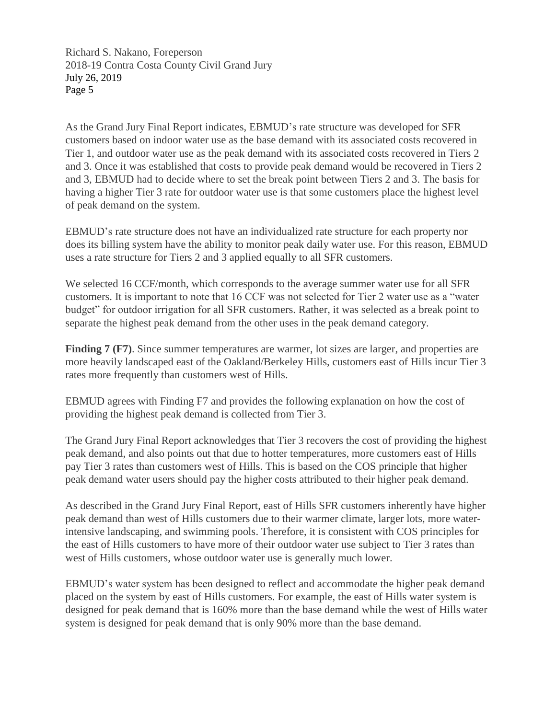As the Grand Jury Final Report indicates, EBMUD's rate structure was developed for SFR customers based on indoor water use as the base demand with its associated costs recovered in Tier 1, and outdoor water use as the peak demand with its associated costs recovered in Tiers 2 and 3. Once it was established that costs to provide peak demand would be recovered in Tiers 2 and 3, EBMUD had to decide where to set the break point between Tiers 2 and 3. The basis for having a higher Tier 3 rate for outdoor water use is that some customers place the highest level of peak demand on the system.

EBMUD's rate structure does not have an individualized rate structure for each property nor does its billing system have the ability to monitor peak daily water use. For this reason, EBMUD uses a rate structure for Tiers 2 and 3 applied equally to all SFR customers.

We selected 16 CCF/month, which corresponds to the average summer water use for all SFR customers. It is important to note that 16 CCF was not selected for Tier 2 water use as a "water budget" for outdoor irrigation for all SFR customers. Rather, it was selected as a break point to separate the highest peak demand from the other uses in the peak demand category.

**Finding 7 (F7)**. Since summer temperatures are warmer, lot sizes are larger, and properties are more heavily landscaped east of the Oakland/Berkeley Hills, customers east of Hills incur Tier 3 rates more frequently than customers west of Hills.

EBMUD agrees with Finding F7 and provides the following explanation on how the cost of providing the highest peak demand is collected from Tier 3.

The Grand Jury Final Report acknowledges that Tier 3 recovers the cost of providing the highest peak demand, and also points out that due to hotter temperatures, more customers east of Hills pay Tier 3 rates than customers west of Hills. This is based on the COS principle that higher peak demand water users should pay the higher costs attributed to their higher peak demand.

As described in the Grand Jury Final Report, east of Hills SFR customers inherently have higher peak demand than west of Hills customers due to their warmer climate, larger lots, more waterintensive landscaping, and swimming pools. Therefore, it is consistent with COS principles for the east of Hills customers to have more of their outdoor water use subject to Tier 3 rates than west of Hills customers, whose outdoor water use is generally much lower.

EBMUD's water system has been designed to reflect and accommodate the higher peak demand placed on the system by east of Hills customers. For example, the east of Hills water system is designed for peak demand that is 160% more than the base demand while the west of Hills water system is designed for peak demand that is only 90% more than the base demand.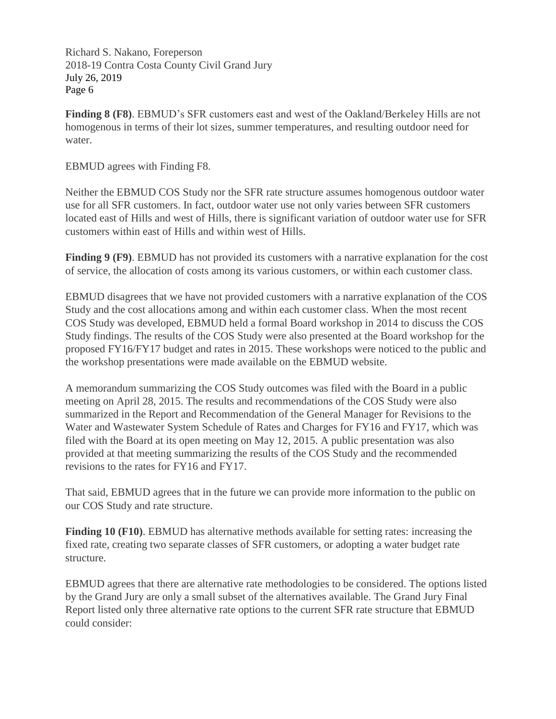**Finding 8 (F8)**. EBMUD's SFR customers east and west of the Oakland/Berkeley Hills are not homogenous in terms of their lot sizes, summer temperatures, and resulting outdoor need for water.

EBMUD agrees with Finding F8.

Neither the EBMUD COS Study nor the SFR rate structure assumes homogenous outdoor water use for all SFR customers. In fact, outdoor water use not only varies between SFR customers located east of Hills and west of Hills, there is significant variation of outdoor water use for SFR customers within east of Hills and within west of Hills.

**Finding 9 (F9)**. EBMUD has not provided its customers with a narrative explanation for the cost of service, the allocation of costs among its various customers, or within each customer class.

EBMUD disagrees that we have not provided customers with a narrative explanation of the COS Study and the cost allocations among and within each customer class. When the most recent COS Study was developed, EBMUD held a formal Board workshop in 2014 to discuss the COS Study findings. The results of the COS Study were also presented at the Board workshop for the proposed FY16/FY17 budget and rates in 2015. These workshops were noticed to the public and the workshop presentations were made available on the EBMUD website.

A memorandum summarizing the COS Study outcomes was filed with the Board in a public meeting on April 28, 2015. The results and recommendations of the COS Study were also summarized in the Report and Recommendation of the General Manager for Revisions to the Water and Wastewater System Schedule of Rates and Charges for FY16 and FY17, which was filed with the Board at its open meeting on May 12, 2015. A public presentation was also provided at that meeting summarizing the results of the COS Study and the recommended revisions to the rates for FY16 and FY17.

That said, EBMUD agrees that in the future we can provide more information to the public on our COS Study and rate structure.

**Finding 10 (F10)**. EBMUD has alternative methods available for setting rates: increasing the fixed rate, creating two separate classes of SFR customers, or adopting a water budget rate structure.

EBMUD agrees that there are alternative rate methodologies to be considered. The options listed by the Grand Jury are only a small subset of the alternatives available. The Grand Jury Final Report listed only three alternative rate options to the current SFR rate structure that EBMUD could consider: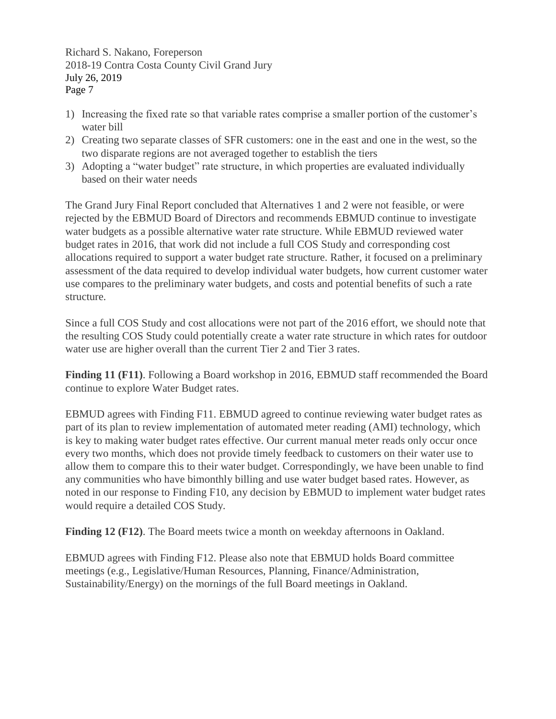- 1) Increasing the fixed rate so that variable rates comprise a smaller portion of the customer's water bill
- 2) Creating two separate classes of SFR customers: one in the east and one in the west, so the two disparate regions are not averaged together to establish the tiers
- 3) Adopting a "water budget" rate structure, in which properties are evaluated individually based on their water needs

The Grand Jury Final Report concluded that Alternatives 1 and 2 were not feasible, or were rejected by the EBMUD Board of Directors and recommends EBMUD continue to investigate water budgets as a possible alternative water rate structure. While EBMUD reviewed water budget rates in 2016, that work did not include a full COS Study and corresponding cost allocations required to support a water budget rate structure. Rather, it focused on a preliminary assessment of the data required to develop individual water budgets, how current customer water use compares to the preliminary water budgets, and costs and potential benefits of such a rate structure.

Since a full COS Study and cost allocations were not part of the 2016 effort, we should note that the resulting COS Study could potentially create a water rate structure in which rates for outdoor water use are higher overall than the current Tier 2 and Tier 3 rates.

**Finding 11 (F11)**. Following a Board workshop in 2016, EBMUD staff recommended the Board continue to explore Water Budget rates.

EBMUD agrees with Finding F11. EBMUD agreed to continue reviewing water budget rates as part of its plan to review implementation of automated meter reading (AMI) technology, which is key to making water budget rates effective. Our current manual meter reads only occur once every two months, which does not provide timely feedback to customers on their water use to allow them to compare this to their water budget. Correspondingly, we have been unable to find any communities who have bimonthly billing and use water budget based rates. However, as noted in our response to Finding F10, any decision by EBMUD to implement water budget rates would require a detailed COS Study.

**Finding 12 (F12)**. The Board meets twice a month on weekday afternoons in Oakland.

EBMUD agrees with Finding F12. Please also note that EBMUD holds Board committee meetings (e.g., Legislative/Human Resources, Planning, Finance/Administration, Sustainability/Energy) on the mornings of the full Board meetings in Oakland.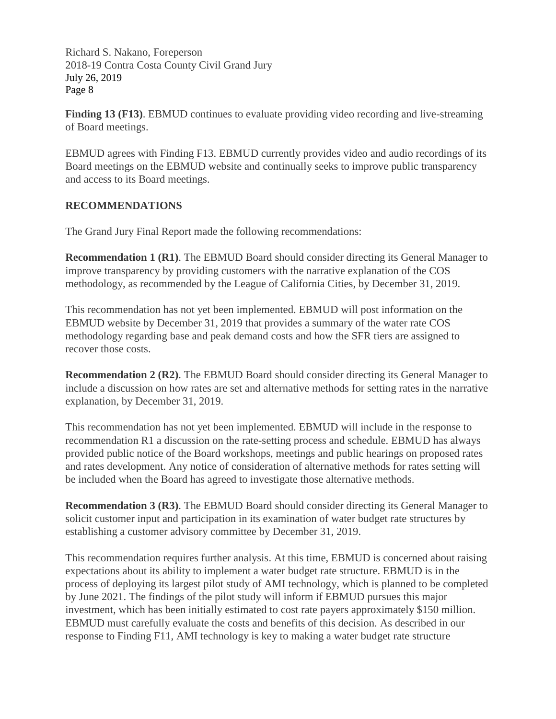**Finding 13 (F13)**. EBMUD continues to evaluate providing video recording and live-streaming of Board meetings.

EBMUD agrees with Finding F13. EBMUD currently provides video and audio recordings of its Board meetings on the EBMUD website and continually seeks to improve public transparency and access to its Board meetings.

### **RECOMMENDATIONS**

The Grand Jury Final Report made the following recommendations:

**Recommendation 1 (R1)**. The EBMUD Board should consider directing its General Manager to improve transparency by providing customers with the narrative explanation of the COS methodology, as recommended by the League of California Cities, by December 31, 2019.

This recommendation has not yet been implemented. EBMUD will post information on the EBMUD website by December 31, 2019 that provides a summary of the water rate COS methodology regarding base and peak demand costs and how the SFR tiers are assigned to recover those costs.

**Recommendation 2 (R2)**. The EBMUD Board should consider directing its General Manager to include a discussion on how rates are set and alternative methods for setting rates in the narrative explanation, by December 31, 2019.

This recommendation has not yet been implemented. EBMUD will include in the response to recommendation R1 a discussion on the rate-setting process and schedule. EBMUD has always provided public notice of the Board workshops, meetings and public hearings on proposed rates and rates development. Any notice of consideration of alternative methods for rates setting will be included when the Board has agreed to investigate those alternative methods.

**Recommendation 3 (R3)**. The EBMUD Board should consider directing its General Manager to solicit customer input and participation in its examination of water budget rate structures by establishing a customer advisory committee by December 31, 2019.

This recommendation requires further analysis. At this time, EBMUD is concerned about raising expectations about its ability to implement a water budget rate structure. EBMUD is in the process of deploying its largest pilot study of AMI technology, which is planned to be completed by June 2021. The findings of the pilot study will inform if EBMUD pursues this major investment, which has been initially estimated to cost rate payers approximately \$150 million. EBMUD must carefully evaluate the costs and benefits of this decision. As described in our response to Finding F11, AMI technology is key to making a water budget rate structure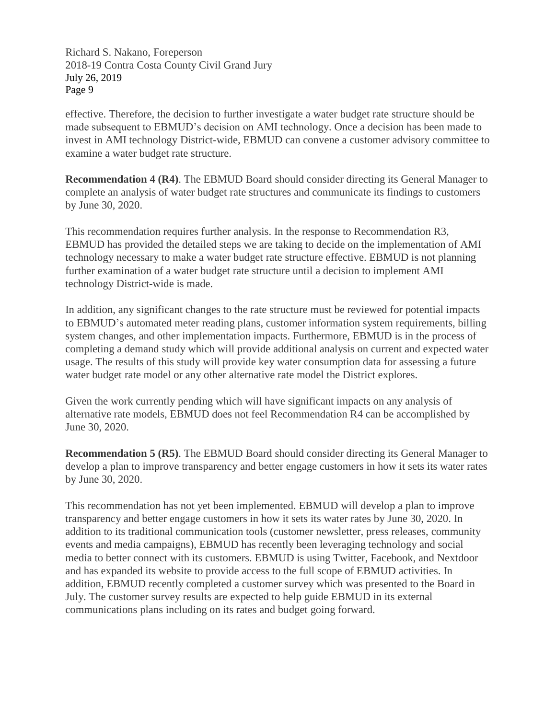effective. Therefore, the decision to further investigate a water budget rate structure should be made subsequent to EBMUD's decision on AMI technology. Once a decision has been made to invest in AMI technology District-wide, EBMUD can convene a customer advisory committee to examine a water budget rate structure.

**Recommendation 4 (R4)**. The EBMUD Board should consider directing its General Manager to complete an analysis of water budget rate structures and communicate its findings to customers by June 30, 2020.

This recommendation requires further analysis. In the response to Recommendation R3, EBMUD has provided the detailed steps we are taking to decide on the implementation of AMI technology necessary to make a water budget rate structure effective. EBMUD is not planning further examination of a water budget rate structure until a decision to implement AMI technology District-wide is made.

In addition, any significant changes to the rate structure must be reviewed for potential impacts to EBMUD's automated meter reading plans, customer information system requirements, billing system changes, and other implementation impacts. Furthermore, EBMUD is in the process of completing a demand study which will provide additional analysis on current and expected water usage. The results of this study will provide key water consumption data for assessing a future water budget rate model or any other alternative rate model the District explores.

Given the work currently pending which will have significant impacts on any analysis of alternative rate models, EBMUD does not feel Recommendation R4 can be accomplished by June 30, 2020.

**Recommendation 5 (R5)**. The EBMUD Board should consider directing its General Manager to develop a plan to improve transparency and better engage customers in how it sets its water rates by June 30, 2020.

This recommendation has not yet been implemented. EBMUD will develop a plan to improve transparency and better engage customers in how it sets its water rates by June 30, 2020. In addition to its traditional communication tools (customer newsletter, press releases, community events and media campaigns), EBMUD has recently been leveraging technology and social media to better connect with its customers. EBMUD is using Twitter, Facebook, and Nextdoor and has expanded its website to provide access to the full scope of EBMUD activities. In addition, EBMUD recently completed a customer survey which was presented to the Board in July. The customer survey results are expected to help guide EBMUD in its external communications plans including on its rates and budget going forward.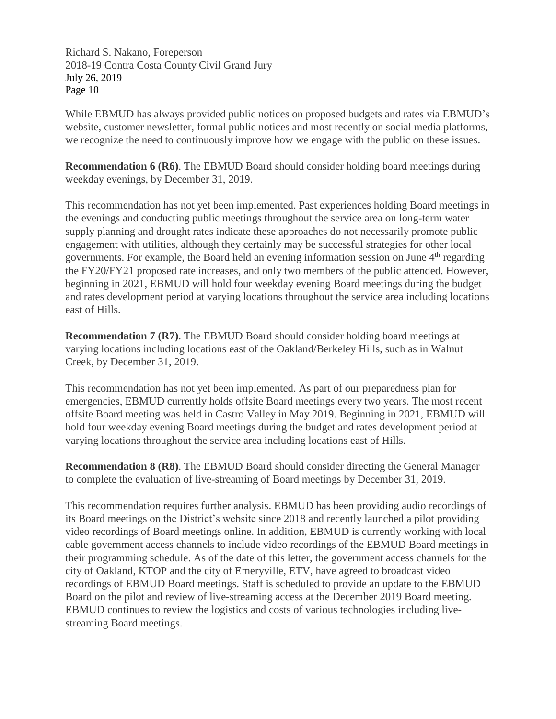While EBMUD has always provided public notices on proposed budgets and rates via EBMUD's website, customer newsletter, formal public notices and most recently on social media platforms, we recognize the need to continuously improve how we engage with the public on these issues.

**Recommendation 6 (R6)**. The EBMUD Board should consider holding board meetings during weekday evenings, by December 31, 2019.

This recommendation has not yet been implemented. Past experiences holding Board meetings in the evenings and conducting public meetings throughout the service area on long-term water supply planning and drought rates indicate these approaches do not necessarily promote public engagement with utilities, although they certainly may be successful strategies for other local governments. For example, the Board held an evening information session on June  $4<sup>th</sup>$  regarding the FY20/FY21 proposed rate increases, and only two members of the public attended. However, beginning in 2021, EBMUD will hold four weekday evening Board meetings during the budget and rates development period at varying locations throughout the service area including locations east of Hills.

**Recommendation 7 (R7)**. The EBMUD Board should consider holding board meetings at varying locations including locations east of the Oakland/Berkeley Hills, such as in Walnut Creek, by December 31, 2019.

This recommendation has not yet been implemented. As part of our preparedness plan for emergencies, EBMUD currently holds offsite Board meetings every two years. The most recent offsite Board meeting was held in Castro Valley in May 2019. Beginning in 2021, EBMUD will hold four weekday evening Board meetings during the budget and rates development period at varying locations throughout the service area including locations east of Hills.

**Recommendation 8 (R8)**. The EBMUD Board should consider directing the General Manager to complete the evaluation of live-streaming of Board meetings by December 31, 2019.

This recommendation requires further analysis. EBMUD has been providing audio recordings of its Board meetings on the District's website since 2018 and recently launched a pilot providing video recordings of Board meetings online. In addition, EBMUD is currently working with local cable government access channels to include video recordings of the EBMUD Board meetings in their programming schedule. As of the date of this letter, the government access channels for the city of Oakland, KTOP and the city of Emeryville, ETV, have agreed to broadcast video recordings of EBMUD Board meetings. Staff is scheduled to provide an update to the EBMUD Board on the pilot and review of live-streaming access at the December 2019 Board meeting. EBMUD continues to review the logistics and costs of various technologies including livestreaming Board meetings.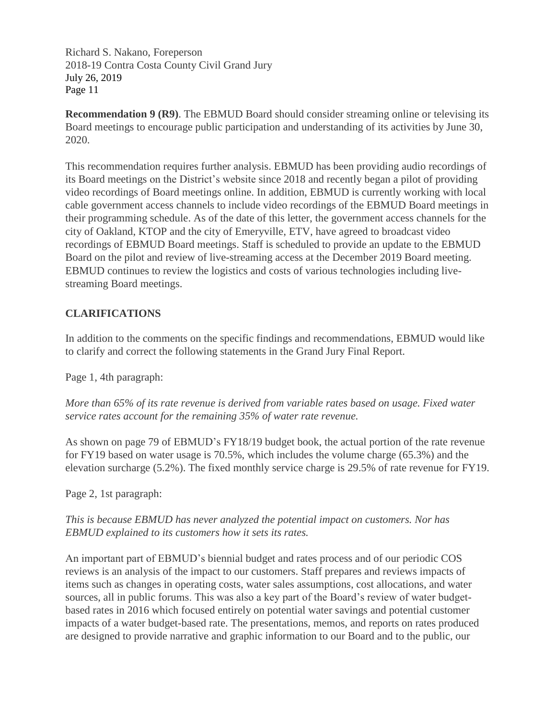**Recommendation 9 (R9)**. The EBMUD Board should consider streaming online or televising its Board meetings to encourage public participation and understanding of its activities by June 30, 2020.

This recommendation requires further analysis. EBMUD has been providing audio recordings of its Board meetings on the District's website since 2018 and recently began a pilot of providing video recordings of Board meetings online. In addition, EBMUD is currently working with local cable government access channels to include video recordings of the EBMUD Board meetings in their programming schedule. As of the date of this letter, the government access channels for the city of Oakland, KTOP and the city of Emeryville, ETV, have agreed to broadcast video recordings of EBMUD Board meetings. Staff is scheduled to provide an update to the EBMUD Board on the pilot and review of live-streaming access at the December 2019 Board meeting. EBMUD continues to review the logistics and costs of various technologies including livestreaming Board meetings.

## **CLARIFICATIONS**

In addition to the comments on the specific findings and recommendations, EBMUD would like to clarify and correct the following statements in the Grand Jury Final Report.

Page 1, 4th paragraph:

*More than 65% of its rate revenue is derived from variable rates based on usage. Fixed water service rates account for the remaining 35% of water rate revenue.*

As shown on page 79 of EBMUD's FY18/19 budget book, the actual portion of the rate revenue for FY19 based on water usage is 70.5%, which includes the volume charge (65.3%) and the elevation surcharge (5.2%). The fixed monthly service charge is 29.5% of rate revenue for FY19.

Page 2, 1st paragraph:

*This is because EBMUD has never analyzed the potential impact on customers. Nor has EBMUD explained to its customers how it sets its rates.*

An important part of EBMUD's biennial budget and rates process and of our periodic COS reviews is an analysis of the impact to our customers. Staff prepares and reviews impacts of items such as changes in operating costs, water sales assumptions, cost allocations, and water sources, all in public forums. This was also a key part of the Board's review of water budgetbased rates in 2016 which focused entirely on potential water savings and potential customer impacts of a water budget-based rate. The presentations, memos, and reports on rates produced are designed to provide narrative and graphic information to our Board and to the public, our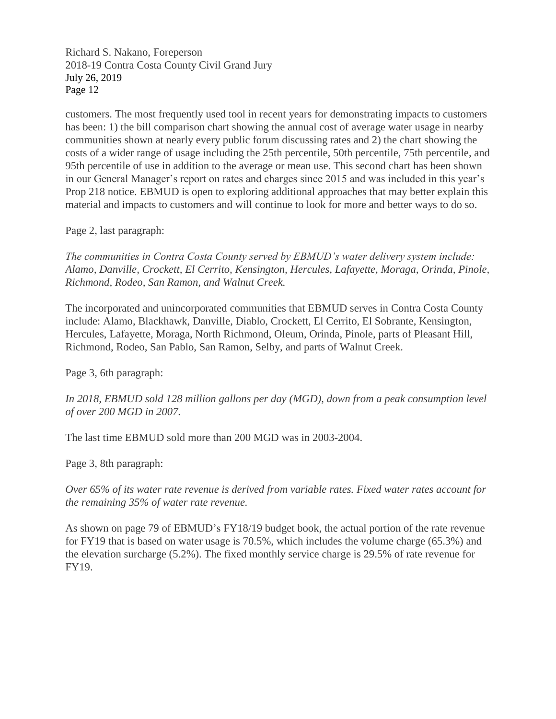customers. The most frequently used tool in recent years for demonstrating impacts to customers has been: 1) the bill comparison chart showing the annual cost of average water usage in nearby communities shown at nearly every public forum discussing rates and 2) the chart showing the costs of a wider range of usage including the 25th percentile, 50th percentile, 75th percentile, and 95th percentile of use in addition to the average or mean use. This second chart has been shown in our General Manager's report on rates and charges since 2015 and was included in this year's Prop 218 notice. EBMUD is open to exploring additional approaches that may better explain this material and impacts to customers and will continue to look for more and better ways to do so.

Page 2, last paragraph:

*The communities in Contra Costa County served by EBMUD's water delivery system include: Alamo, Danville, Crockett, El Cerrito, Kensington, Hercules, Lafayette, Moraga, Orinda, Pinole, Richmond, Rodeo, San Ramon, and Walnut Creek.*

The incorporated and unincorporated communities that EBMUD serves in Contra Costa County include: Alamo, Blackhawk, Danville, Diablo, Crockett, El Cerrito, El Sobrante, Kensington, Hercules, Lafayette, Moraga, North Richmond, Oleum, Orinda, Pinole, parts of Pleasant Hill, Richmond, Rodeo, San Pablo, San Ramon, Selby, and parts of Walnut Creek.

Page 3, 6th paragraph:

In 2018, EBMUD sold 128 million gallons per day (MGD), down from a peak consumption level *of over 200 MGD in 2007.*

The last time EBMUD sold more than 200 MGD was in 2003-2004.

Page 3, 8th paragraph:

*Over 65% of its water rate revenue is derived from variable rates. Fixed water rates account for the remaining 35% of water rate revenue.*

As shown on page 79 of EBMUD's FY18/19 budget book, the actual portion of the rate revenue for FY19 that is based on water usage is 70.5%, which includes the volume charge (65.3%) and the elevation surcharge (5.2%). The fixed monthly service charge is 29.5% of rate revenue for FY19.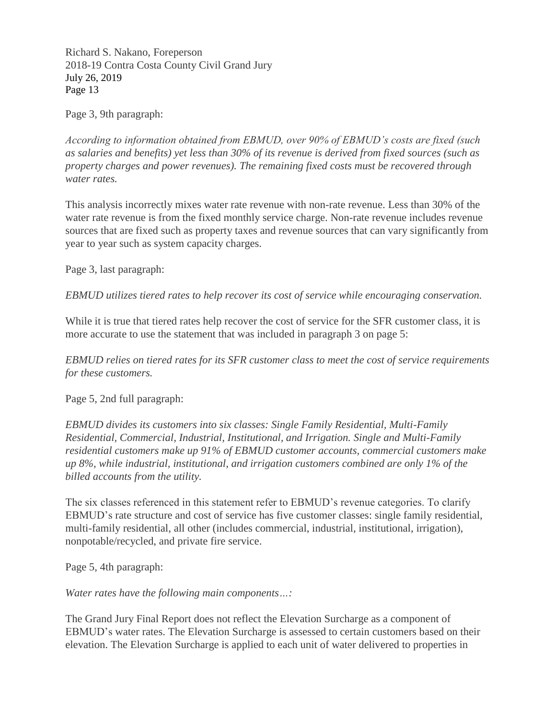Page 3, 9th paragraph:

*According to information obtained from EBMUD, over 90% of EBMUD's costs are fixed (such as salaries and benefits) yet less than 30% of its revenue is derived from fixed sources (such as property charges and power revenues). The remaining fixed costs must be recovered through water rates.*

This analysis incorrectly mixes water rate revenue with non-rate revenue. Less than 30% of the water rate revenue is from the fixed monthly service charge. Non-rate revenue includes revenue sources that are fixed such as property taxes and revenue sources that can vary significantly from year to year such as system capacity charges.

Page 3, last paragraph:

*EBMUD utilizes tiered rates to help recover its cost of service while encouraging conservation.*

While it is true that tiered rates help recover the cost of service for the SFR customer class, it is more accurate to use the statement that was included in paragraph 3 on page 5:

*EBMUD relies on tiered rates for its SFR customer class to meet the cost of service requirements for these customers.*

Page 5, 2nd full paragraph:

*EBMUD divides its customers into six classes: Single Family Residential, Multi-Family Residential, Commercial, Industrial, Institutional, and Irrigation. Single and Multi-Family residential customers make up 91% of EBMUD customer accounts, commercial customers make up 8%, while industrial, institutional, and irrigation customers combined are only 1% of the billed accounts from the utility.*

The six classes referenced in this statement refer to EBMUD's revenue categories. To clarify EBMUD's rate structure and cost of service has five customer classes: single family residential, multi-family residential, all other (includes commercial, industrial, institutional, irrigation), nonpotable/recycled, and private fire service.

Page 5, 4th paragraph:

*Water rates have the following main components…:*

The Grand Jury Final Report does not reflect the Elevation Surcharge as a component of EBMUD's water rates. The Elevation Surcharge is assessed to certain customers based on their elevation. The Elevation Surcharge is applied to each unit of water delivered to properties in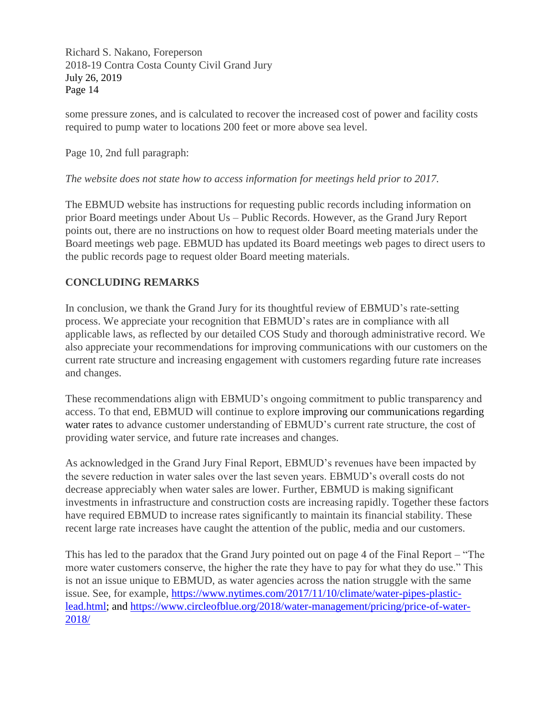some pressure zones, and is calculated to recover the increased cost of power and facility costs required to pump water to locations 200 feet or more above sea level.

Page 10, 2nd full paragraph:

### *The website does not state how to access information for meetings held prior to 2017.*

The EBMUD website has instructions for requesting public records including information on prior Board meetings under About Us – Public Records. However, as the Grand Jury Report points out, there are no instructions on how to request older Board meeting materials under the Board meetings web page. EBMUD has updated its Board meetings web pages to direct users to the public records page to request older Board meeting materials.

# **CONCLUDING REMARKS**

In conclusion, we thank the Grand Jury for its thoughtful review of EBMUD's rate-setting process. We appreciate your recognition that EBMUD's rates are in compliance with all applicable laws, as reflected by our detailed COS Study and thorough administrative record. We also appreciate your recommendations for improving communications with our customers on the current rate structure and increasing engagement with customers regarding future rate increases and changes.

These recommendations align with EBMUD's ongoing commitment to public transparency and access. To that end, EBMUD will continue to explore improving our communications regarding water rates to advance customer understanding of EBMUD's current rate structure, the cost of providing water service, and future rate increases and changes.

As acknowledged in the Grand Jury Final Report, EBMUD's revenues have been impacted by the severe reduction in water sales over the last seven years. EBMUD's overall costs do not decrease appreciably when water sales are lower. Further, EBMUD is making significant investments in infrastructure and construction costs are increasing rapidly. Together these factors have required EBMUD to increase rates significantly to maintain its financial stability. These recent large rate increases have caught the attention of the public, media and our customers.

This has led to the paradox that the Grand Jury pointed out on page 4 of the Final Report – "The more water customers conserve, the higher the rate they have to pay for what they do use." This is not an issue unique to EBMUD, as water agencies across the nation struggle with the same issue. See, for example, [https://www.nytimes.com/2017/11/10/climate/water-pipes-plastic](https://www.nytimes.com/2017/11/10/climate/water-pipes-plastic-lead.html)[lead.html;](https://www.nytimes.com/2017/11/10/climate/water-pipes-plastic-lead.html) and [https://www.circleofblue.org/2018/water-management/pricing/price-of-water-](https://www.circleofblue.org/2018/water-management/pricing/price-of-water-2018/)[2018/](https://www.circleofblue.org/2018/water-management/pricing/price-of-water-2018/)